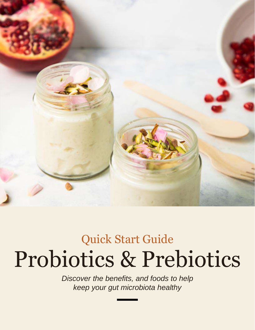

## Probiotics & Prebiotics Quick Start Guide

*Discover the benefits, and foods to help keep your gut microbiota healthy*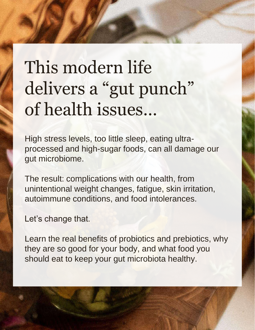# This modern life delivers a "gut punch" of health issues…

High stress levels, too little sleep, eating ultraprocessed and high-sugar foods, can all damage our gut microbiome.

The result: complications with our health, from unintentional weight changes, fatigue, skin irritation, autoimmune conditions, and food intolerances.

Let's change that.

Learn the real benefits of probiotics and prebiotics, why they are so good for your body, and what food you should eat to keep your gut microbiota healthy.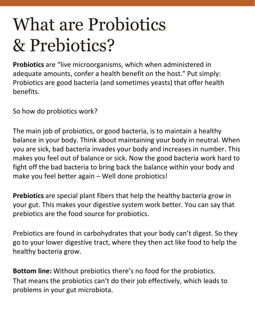# What are Probiotics & Prebiotics?

**Probiotics** are "live microorganisms, which when administered in adequate amounts, confer a health benefit on the host." Put simply: Probiotics are good bacteria (and sometimes yeasts) that offer health benefits.

So how do probiotics work?

The main job of probiotics, or good bacteria, is to maintain a healthy balance in your body. Think about maintaining your body in neutral. When you are sick, bad bacteria invades your body and increases in number. This makes you feel out of balance or sick. Now the good bacteria work hard to fight off the bad bacteria to bring back the balance within your body and make you feel better again – Well done probiotics!

**Prebiotics** are special plant fibers that help the healthy bacteria grow in your gut. This makes your digestive system work better. You can say that prebiotics are the food source for probiotics.

Prebiotics are found in carbohydrates that your body can't digest. So they go to your lower digestive tract, where they then act like food to help the healthy bacteria grow.

**Bottom line:** Without prebiotics there's no food for the probiotics. That means the probiotics can't do their job effectively, which leads to problems in your gut microbiota.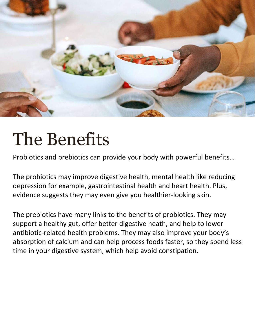

# The Benefits

Probiotics and prebiotics can provide your body with powerful benefits…

The probiotics may improve digestive health, mental health like reducing depression for example, gastrointestinal health and heart health. Plus, evidence suggests they may even give you healthier-looking skin.

The prebiotics have many links to the benefits of probiotics. They may support a healthy gut, offer better digestive heath, and help to lower antibiotic-related health problems. They may also improve your body's absorption of calcium and can help process foods faster, so they spend less time in your digestive system, which help avoid constipation.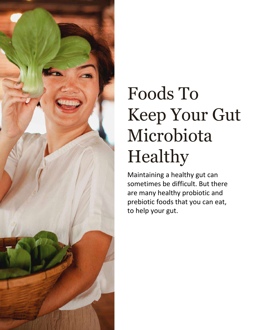

# Foods To Keep Your Gut Microbiota Healthy

Maintaining a healthy gut can sometimes be difficult. But there are many healthy probiotic and prebiotic foods that you can eat, to help your gut.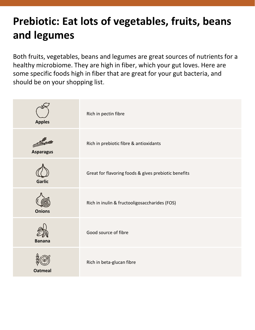### **Prebiotic: Eat lots of vegetables, fruits, beans and legumes**

Both fruits, vegetables, beans and legumes are great sources of nutrients for a healthy microbiome. They are high in fiber, which your gut loves. Here are some specific foods high in fiber that are great for your gut bacteria, and should be on your shopping list.

| <b>Apples</b>    | Rich in pectin fibre                                 |
|------------------|------------------------------------------------------|
| <b>Asparagus</b> | Rich in prebiotic fibre & antioxidants               |
| <b>Garlic</b>    | Great for flavoring foods & gives prebiotic benefits |
| <b>Onions</b>    | Rich in inulin & fructooligosaccharides (FOS)        |
| <b>Banana</b>    | Good source of fibre                                 |
| <b>Oatmeal</b>   | Rich in beta-glucan fibre                            |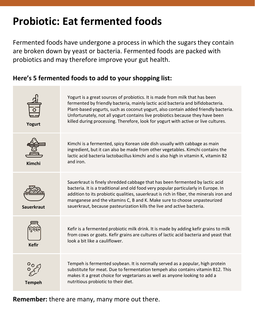### **Probiotic: Eat fermented foods**

Fermented foods have undergone a process in which the sugars they contain are broken down by yeast or bacteria. Fermented foods are packed with probiotics and may therefore improve your gut health.

#### **Here's 5 fermented foods to add to your shopping list:**



**Remember:** there are many, many more out there.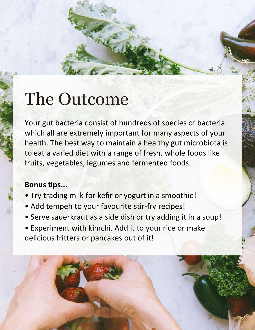# The Outcome

Your gut bacteria consist of hundreds of species of bacteria which all are extremely important for many aspects of your health. The best way to maintain a healthy gut microbiota is to eat a varied diet with a range of fresh, whole foods like fruits, vegetables, legumes and fermented foods.

#### **Bonus tips...**

- Try trading milk for kefir or yogurt in a smoothie!
- Add tempeh to your favourite stir-fry recipes!
- Serve sauerkraut as a side dish or try adding it in a soup!
- Experiment with kimchi. Add it to your rice or make delicious fritters or pancakes out of it!